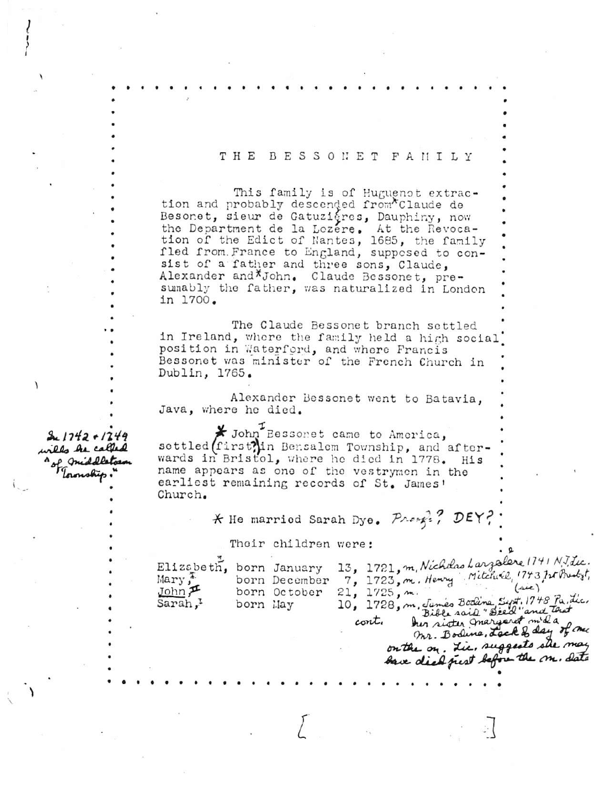## THE BESSONET FANILY

This family is of Huguenot extrac-<br>tion and probably descended from Claude de Besonet, sieur de Gatuzigres, Dauphiny, now the Department de la Lozere. At the Revoca-<br>tion of the Edict of Nantes, 1685, the family fled from France to England, supposed to consist of a father and three sons, Claude, Alexander and \*John. Claude Bessonet, pre-<br>sumably the father, was naturalized in London in 1700.

The Claude Bessonet branch settled in Ireland, where the family held a high social position in Waterford, and where Francis Bessonet was minister of the French Church in Dublin, 1765.

Alexander Bessonet went to Batavia. Java, where he died.

**\*** John<sup>T</sup> Bessonet came to America, settled (first) in Bensalem Township, and afterwards in Bristol, where he died in 1778. His name appears as one of the vestrymen in the earliest remaining records of St. James' Church.

\* He married Sarah Dye. Press:? DEY?

Their children were:

| Elizabeth<br>Mary,<br>JohnF<br>Sarah, <sup>1</sup> | born January<br>born December<br>born October<br>born May | 13, 1721, m, Nicholas Largalere 1741 N.J.Lic.<br>7, 1723, m. Henry Mitchell, 1743, Int Prealst,<br>21, 1725, m.<br>10, 1728, m. Junes Bodina, Syr, 1748 Pa. Lic.<br>Bible said " Deed "and that |
|----------------------------------------------------|-----------------------------------------------------------|-------------------------------------------------------------------------------------------------------------------------------------------------------------------------------------------------|
|                                                    |                                                           | her sister margaret mida<br>$\text{cont.}$<br>mr. Bodine, Lack & day of me<br>on the on. Lie, suggests she may<br>bace died just before the m. Sato                                             |

wills he called " of middletons Toronship

 $21742 + 1249$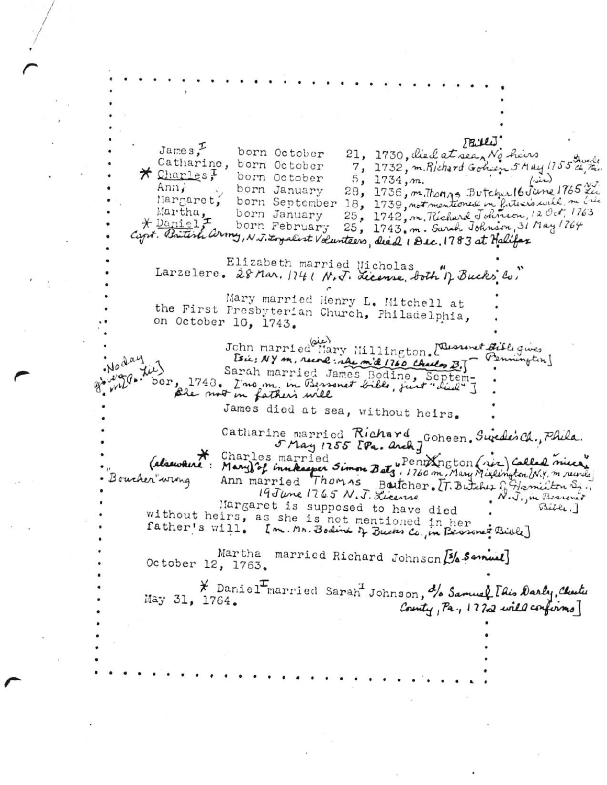TRILLI  $J$ ames $?$ born October 21, 1730, died at sea, No hive Catharine, born October 7, 1732, m. Richard Goheen 5 May 1755 ch Ru \* Charles; born October  $5, 1734, m.$ 28, 1736, m. Thomps Butcher 16 June 1765 fe Ann, born January Margaret, born September 18, 1739, not mentioned in Puticip suite metric<br>born January 25, 1742, m. Richard Johnson, 12 Oct, 1763 Martha,<br>\* Daniel, 25, 1743. m. Sarah Johnson, 31 May 1764 born February Capt. British army, N.J. Loyalist Volunteers, died 1 Dec. 1783 at Halifax Elizabeth married Nicholas Larzelere. 28 Mar. 1741 N.J. License, both of Bucks Co. Mary married Henry L. Mitchell at the First Presbyterian Church, Philadelphia, on October 10, 1743. John married Hary Hillington. [ Questinet Bible gives Noday [sie: NY m, rune: she mid 1760 Charles B.] (Pennington) ber, 1743. Ino m. in Bessonal Liberty Septem-<br>ber, 1743. Ino m. in Bessonal Libe, just "did" J<br>Ble noot in father's will James died at sea, without heirs. Catharine married Richard Goheen. Sweden Ch., Phila. (alsewhere: Mary) of innkapper Simon Bets, 1760 m. Mary Millington (NY, m. runds Charles married Ann married Thomas Battcher. [T. Butcher G. Hamilton S. Boucher wing Margaret is supposed to have died  $Bilt.$ without heirs, as she is not mentioned in her father's will. [m. Mr. Bodine of Bucks Co., in Beasonet Bible] Martha married Richard Johnson [3/4 Semual] October 12, 1763. \* Daniel Inarried Sarah Johnson, % Samuel Idis Darly, Chester May 31, 1764. County, Pa., 1722 will confirms]